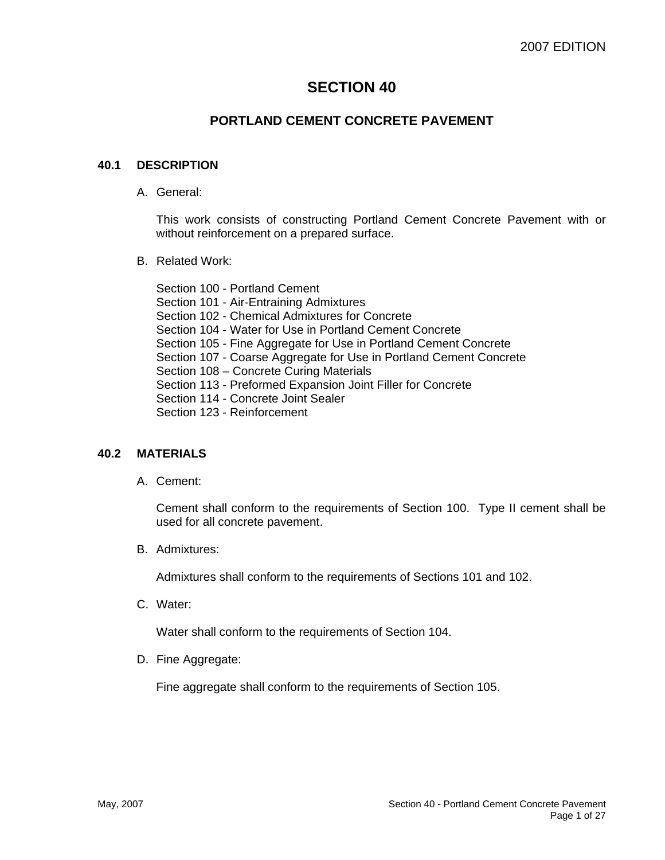# **SECTION 40**

# **PORTLAND CEMENT CONCRETE PAVEMENT**

# **40.1 DESCRIPTION**

A. General:

This work consists of constructing Portland Cement Concrete Pavement with or without reinforcement on a prepared surface.

B. Related Work:

Section 100 - Portland Cement Section 101 - Air-Entraining Admixtures Section 102 - Chemical Admixtures for Concrete Section 104 - Water for Use in Portland Cement Concrete Section 105 - Fine Aggregate for Use in Portland Cement Concrete Section 107 - Coarse Aggregate for Use in Portland Cement Concrete Section 108 – Concrete Curing Materials Section 113 - Preformed Expansion Joint Filler for Concrete Section 114 - Concrete Joint Sealer Section 123 - Reinforcement

# **40.2 MATERIALS**

A. Cement:

Cement shall conform to the requirements of Section 100. Type II cement shall be used for all concrete pavement.

B. Admixtures:

Admixtures shall conform to the requirements of Sections 101 and 102.

C. Water:

Water shall conform to the requirements of Section 104.

D. Fine Aggregate:

Fine aggregate shall conform to the requirements of Section 105.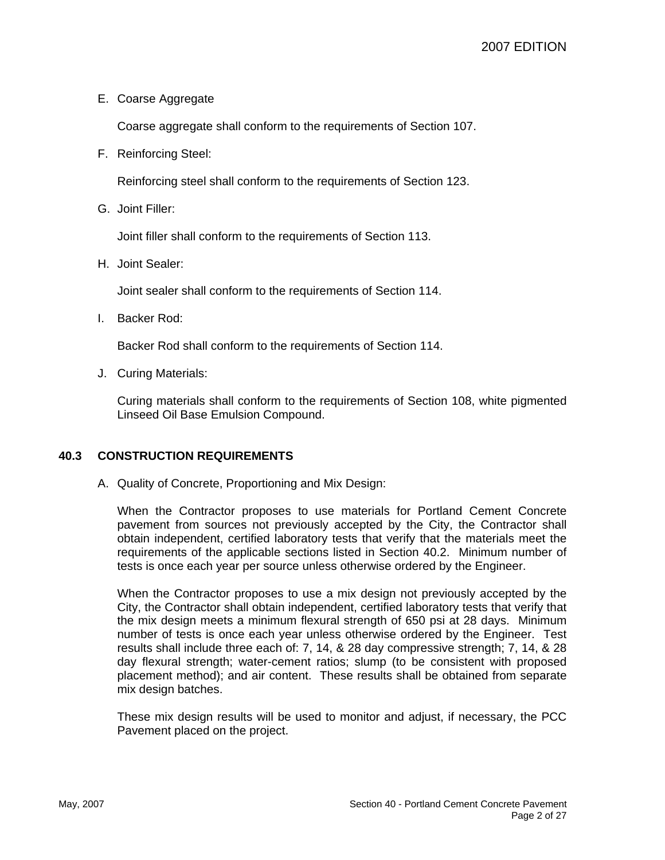E. Coarse Aggregate

Coarse aggregate shall conform to the requirements of Section 107.

F. Reinforcing Steel:

Reinforcing steel shall conform to the requirements of Section 123.

G. Joint Filler:

Joint filler shall conform to the requirements of Section 113.

H. Joint Sealer:

Joint sealer shall conform to the requirements of Section 114.

I. Backer Rod:

Backer Rod shall conform to the requirements of Section 114.

J. Curing Materials:

Curing materials shall conform to the requirements of Section 108, white pigmented Linseed Oil Base Emulsion Compound.

# **40.3 CONSTRUCTION REQUIREMENTS**

A. Quality of Concrete, Proportioning and Mix Design:

When the Contractor proposes to use materials for Portland Cement Concrete pavement from sources not previously accepted by the City, the Contractor shall obtain independent, certified laboratory tests that verify that the materials meet the requirements of the applicable sections listed in Section 40.2. Minimum number of tests is once each year per source unless otherwise ordered by the Engineer.

When the Contractor proposes to use a mix design not previously accepted by the City, the Contractor shall obtain independent, certified laboratory tests that verify that the mix design meets a minimum flexural strength of 650 psi at 28 days. Minimum number of tests is once each year unless otherwise ordered by the Engineer. Test results shall include three each of: 7, 14, & 28 day compressive strength; 7, 14, & 28 day flexural strength; water-cement ratios; slump (to be consistent with proposed placement method); and air content. These results shall be obtained from separate mix design batches.

These mix design results will be used to monitor and adjust, if necessary, the PCC Pavement placed on the project.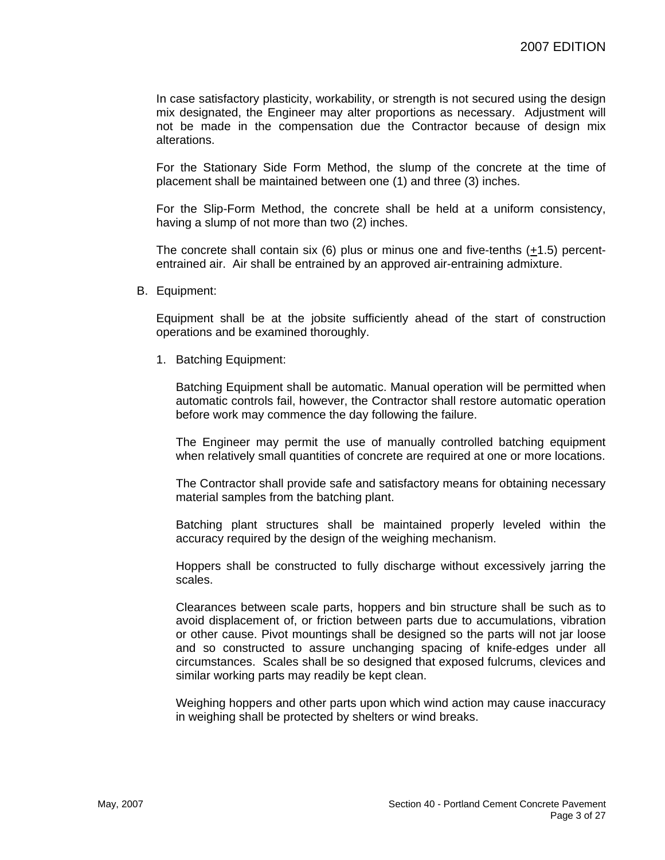In case satisfactory plasticity, workability, or strength is not secured using the design mix designated, the Engineer may alter proportions as necessary. Adjustment will not be made in the compensation due the Contractor because of design mix alterations.

For the Stationary Side Form Method, the slump of the concrete at the time of placement shall be maintained between one (1) and three (3) inches.

For the Slip-Form Method, the concrete shall be held at a uniform consistency, having a slump of not more than two (2) inches.

The concrete shall contain six (6) plus or minus one and five-tenths  $(+1.5)$  percententrained air. Air shall be entrained by an approved air-entraining admixture.

B. Equipment:

Equipment shall be at the jobsite sufficiently ahead of the start of construction operations and be examined thoroughly.

1. Batching Equipment:

Batching Equipment shall be automatic. Manual operation will be permitted when automatic controls fail, however, the Contractor shall restore automatic operation before work may commence the day following the failure.

The Engineer may permit the use of manually controlled batching equipment when relatively small quantities of concrete are required at one or more locations.

The Contractor shall provide safe and satisfactory means for obtaining necessary material samples from the batching plant.

Batching plant structures shall be maintained properly leveled within the accuracy required by the design of the weighing mechanism.

Hoppers shall be constructed to fully discharge without excessively jarring the scales.

Clearances between scale parts, hoppers and bin structure shall be such as to avoid displacement of, or friction between parts due to accumulations, vibration or other cause. Pivot mountings shall be designed so the parts will not jar loose and so constructed to assure unchanging spacing of knife-edges under all circumstances. Scales shall be so designed that exposed fulcrums, clevices and similar working parts may readily be kept clean.

Weighing hoppers and other parts upon which wind action may cause inaccuracy in weighing shall be protected by shelters or wind breaks.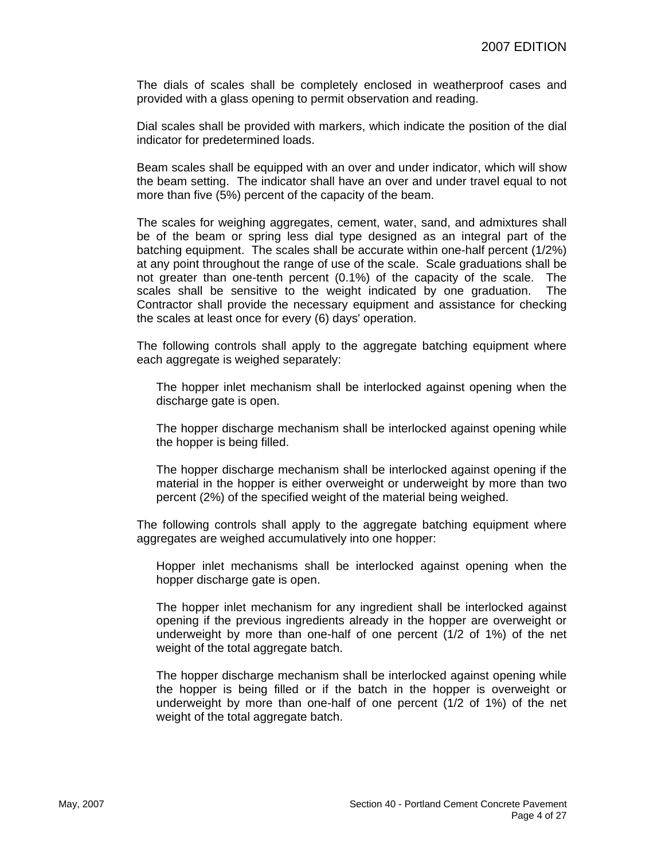The dials of scales shall be completely enclosed in weatherproof cases and provided with a glass opening to permit observation and reading.

Dial scales shall be provided with markers, which indicate the position of the dial indicator for predetermined loads.

Beam scales shall be equipped with an over and under indicator, which will show the beam setting. The indicator shall have an over and under travel equal to not more than five (5%) percent of the capacity of the beam.

The scales for weighing aggregates, cement, water, sand, and admixtures shall be of the beam or spring less dial type designed as an integral part of the batching equipment. The scales shall be accurate within one-half percent (1/2%) at any point throughout the range of use of the scale. Scale graduations shall be not greater than one-tenth percent (0.1%) of the capacity of the scale. The scales shall be sensitive to the weight indicated by one graduation. The Contractor shall provide the necessary equipment and assistance for checking the scales at least once for every (6) days' operation.

The following controls shall apply to the aggregate batching equipment where each aggregate is weighed separately:

The hopper inlet mechanism shall be interlocked against opening when the discharge gate is open.

The hopper discharge mechanism shall be interlocked against opening while the hopper is being filled.

The hopper discharge mechanism shall be interlocked against opening if the material in the hopper is either overweight or underweight by more than two percent (2%) of the specified weight of the material being weighed.

The following controls shall apply to the aggregate batching equipment where aggregates are weighed accumulatively into one hopper:

Hopper inlet mechanisms shall be interlocked against opening when the hopper discharge gate is open.

The hopper inlet mechanism for any ingredient shall be interlocked against opening if the previous ingredients already in the hopper are overweight or underweight by more than one-half of one percent (1/2 of 1%) of the net weight of the total aggregate batch.

The hopper discharge mechanism shall be interlocked against opening while the hopper is being filled or if the batch in the hopper is overweight or underweight by more than one-half of one percent (1/2 of 1%) of the net weight of the total aggregate batch.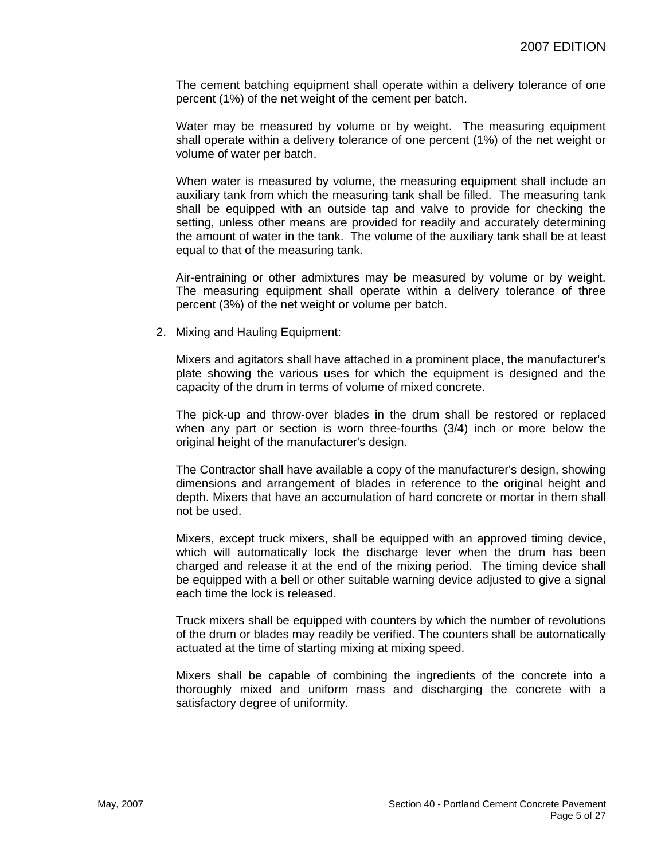The cement batching equipment shall operate within a delivery tolerance of one percent (1%) of the net weight of the cement per batch.

Water may be measured by volume or by weight. The measuring equipment shall operate within a delivery tolerance of one percent (1%) of the net weight or volume of water per batch.

When water is measured by volume, the measuring equipment shall include an auxiliary tank from which the measuring tank shall be filled. The measuring tank shall be equipped with an outside tap and valve to provide for checking the setting, unless other means are provided for readily and accurately determining the amount of water in the tank. The volume of the auxiliary tank shall be at least equal to that of the measuring tank.

Air-entraining or other admixtures may be measured by volume or by weight. The measuring equipment shall operate within a delivery tolerance of three percent (3%) of the net weight or volume per batch.

2. Mixing and Hauling Equipment:

Mixers and agitators shall have attached in a prominent place, the manufacturer's plate showing the various uses for which the equipment is designed and the capacity of the drum in terms of volume of mixed concrete.

The pick-up and throw-over blades in the drum shall be restored or replaced when any part or section is worn three-fourths (3/4) inch or more below the original height of the manufacturer's design.

The Contractor shall have available a copy of the manufacturer's design, showing dimensions and arrangement of blades in reference to the original height and depth. Mixers that have an accumulation of hard concrete or mortar in them shall not be used.

Mixers, except truck mixers, shall be equipped with an approved timing device, which will automatically lock the discharge lever when the drum has been charged and release it at the end of the mixing period. The timing device shall be equipped with a bell or other suitable warning device adjusted to give a signal each time the lock is released.

Truck mixers shall be equipped with counters by which the number of revolutions of the drum or blades may readily be verified. The counters shall be automatically actuated at the time of starting mixing at mixing speed.

Mixers shall be capable of combining the ingredients of the concrete into a thoroughly mixed and uniform mass and discharging the concrete with a satisfactory degree of uniformity.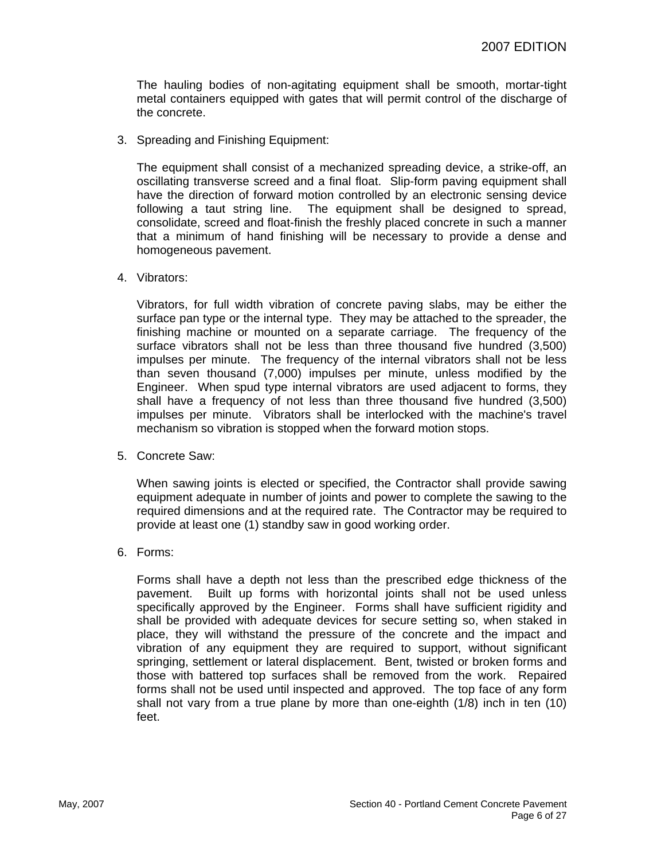The hauling bodies of non-agitating equipment shall be smooth, mortar-tight metal containers equipped with gates that will permit control of the discharge of the concrete.

3. Spreading and Finishing Equipment:

The equipment shall consist of a mechanized spreading device, a strike-off, an oscillating transverse screed and a final float. Slip-form paving equipment shall have the direction of forward motion controlled by an electronic sensing device following a taut string line. The equipment shall be designed to spread, consolidate, screed and float-finish the freshly placed concrete in such a manner that a minimum of hand finishing will be necessary to provide a dense and homogeneous pavement.

4. Vibrators:

Vibrators, for full width vibration of concrete paving slabs, may be either the surface pan type or the internal type. They may be attached to the spreader, the finishing machine or mounted on a separate carriage. The frequency of the surface vibrators shall not be less than three thousand five hundred (3,500) impulses per minute. The frequency of the internal vibrators shall not be less than seven thousand (7,000) impulses per minute, unless modified by the Engineer. When spud type internal vibrators are used adjacent to forms, they shall have a frequency of not less than three thousand five hundred (3,500) impulses per minute. Vibrators shall be interlocked with the machine's travel mechanism so vibration is stopped when the forward motion stops.

5. Concrete Saw:

When sawing joints is elected or specified, the Contractor shall provide sawing equipment adequate in number of joints and power to complete the sawing to the required dimensions and at the required rate. The Contractor may be required to provide at least one (1) standby saw in good working order.

6. Forms:

Forms shall have a depth not less than the prescribed edge thickness of the pavement. Built up forms with horizontal joints shall not be used unless specifically approved by the Engineer. Forms shall have sufficient rigidity and shall be provided with adequate devices for secure setting so, when staked in place, they will withstand the pressure of the concrete and the impact and vibration of any equipment they are required to support, without significant springing, settlement or lateral displacement. Bent, twisted or broken forms and those with battered top surfaces shall be removed from the work. Repaired forms shall not be used until inspected and approved. The top face of any form shall not vary from a true plane by more than one-eighth (1/8) inch in ten (10) feet.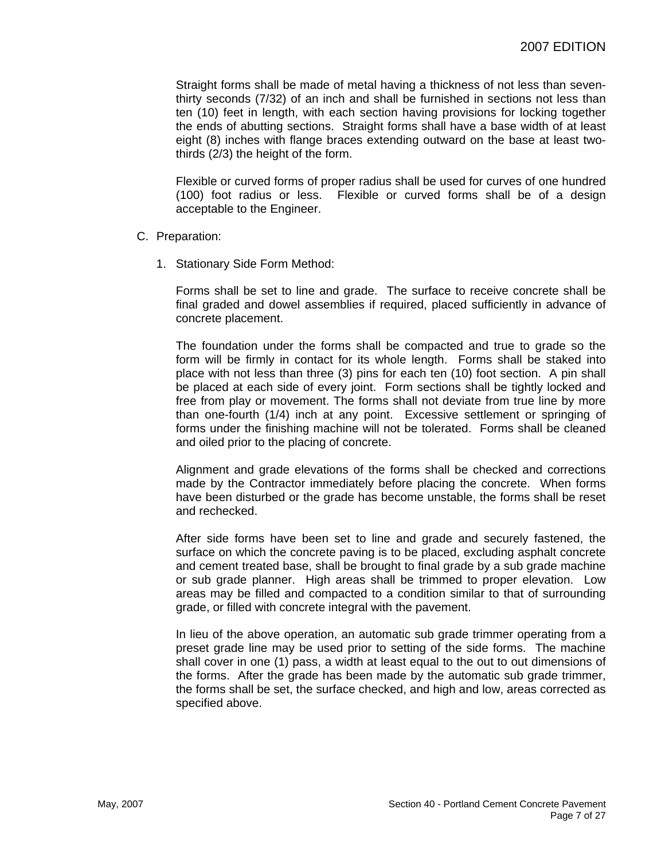Straight forms shall be made of metal having a thickness of not less than seventhirty seconds (7/32) of an inch and shall be furnished in sections not less than ten (10) feet in length, with each section having provisions for locking together the ends of abutting sections. Straight forms shall have a base width of at least eight (8) inches with flange braces extending outward on the base at least twothirds (2/3) the height of the form.

Flexible or curved forms of proper radius shall be used for curves of one hundred (100) foot radius or less. Flexible or curved forms shall be of a design acceptable to the Engineer.

#### C. Preparation:

1. Stationary Side Form Method:

Forms shall be set to line and grade. The surface to receive concrete shall be final graded and dowel assemblies if required, placed sufficiently in advance of concrete placement.

The foundation under the forms shall be compacted and true to grade so the form will be firmly in contact for its whole length. Forms shall be staked into place with not less than three (3) pins for each ten (10) foot section. A pin shall be placed at each side of every joint. Form sections shall be tightly locked and free from play or movement. The forms shall not deviate from true line by more than one-fourth (1/4) inch at any point. Excessive settlement or springing of forms under the finishing machine will not be tolerated. Forms shall be cleaned and oiled prior to the placing of concrete.

Alignment and grade elevations of the forms shall be checked and corrections made by the Contractor immediately before placing the concrete. When forms have been disturbed or the grade has become unstable, the forms shall be reset and rechecked.

After side forms have been set to line and grade and securely fastened, the surface on which the concrete paving is to be placed, excluding asphalt concrete and cement treated base, shall be brought to final grade by a sub grade machine or sub grade planner. High areas shall be trimmed to proper elevation. Low areas may be filled and compacted to a condition similar to that of surrounding grade, or filled with concrete integral with the pavement.

In lieu of the above operation, an automatic sub grade trimmer operating from a preset grade line may be used prior to setting of the side forms. The machine shall cover in one (1) pass, a width at least equal to the out to out dimensions of the forms. After the grade has been made by the automatic sub grade trimmer, the forms shall be set, the surface checked, and high and low, areas corrected as specified above.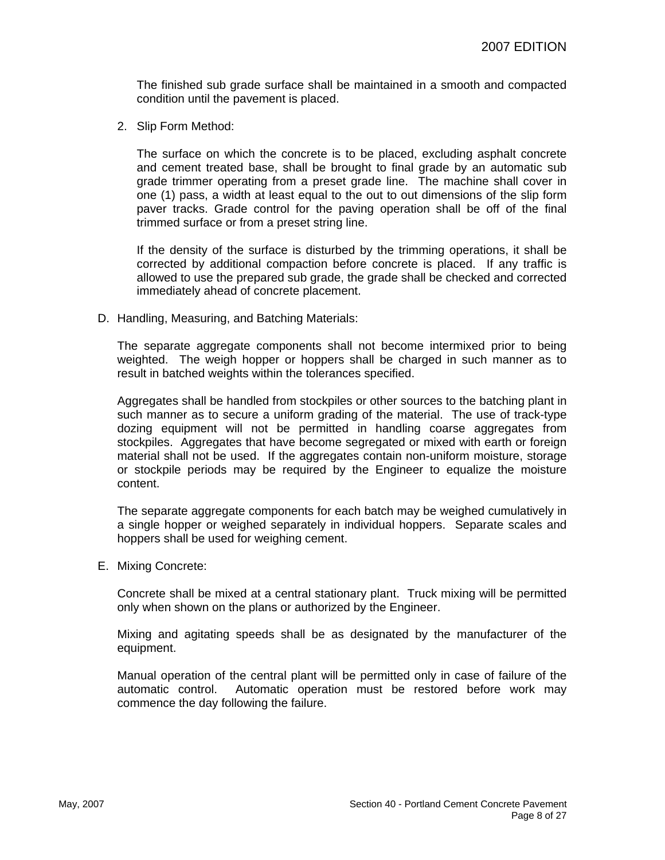The finished sub grade surface shall be maintained in a smooth and compacted condition until the pavement is placed.

2. Slip Form Method:

The surface on which the concrete is to be placed, excluding asphalt concrete and cement treated base, shall be brought to final grade by an automatic sub grade trimmer operating from a preset grade line. The machine shall cover in one (1) pass, a width at least equal to the out to out dimensions of the slip form paver tracks. Grade control for the paving operation shall be off of the final trimmed surface or from a preset string line.

If the density of the surface is disturbed by the trimming operations, it shall be corrected by additional compaction before concrete is placed. If any traffic is allowed to use the prepared sub grade, the grade shall be checked and corrected immediately ahead of concrete placement.

D. Handling, Measuring, and Batching Materials:

The separate aggregate components shall not become intermixed prior to being weighted. The weigh hopper or hoppers shall be charged in such manner as to result in batched weights within the tolerances specified.

Aggregates shall be handled from stockpiles or other sources to the batching plant in such manner as to secure a uniform grading of the material. The use of track-type dozing equipment will not be permitted in handling coarse aggregates from stockpiles. Aggregates that have become segregated or mixed with earth or foreign material shall not be used. If the aggregates contain non-uniform moisture, storage or stockpile periods may be required by the Engineer to equalize the moisture content.

The separate aggregate components for each batch may be weighed cumulatively in a single hopper or weighed separately in individual hoppers. Separate scales and hoppers shall be used for weighing cement.

E. Mixing Concrete:

Concrete shall be mixed at a central stationary plant. Truck mixing will be permitted only when shown on the plans or authorized by the Engineer.

Mixing and agitating speeds shall be as designated by the manufacturer of the equipment.

Manual operation of the central plant will be permitted only in case of failure of the automatic control. Automatic operation must be restored before work may commence the day following the failure.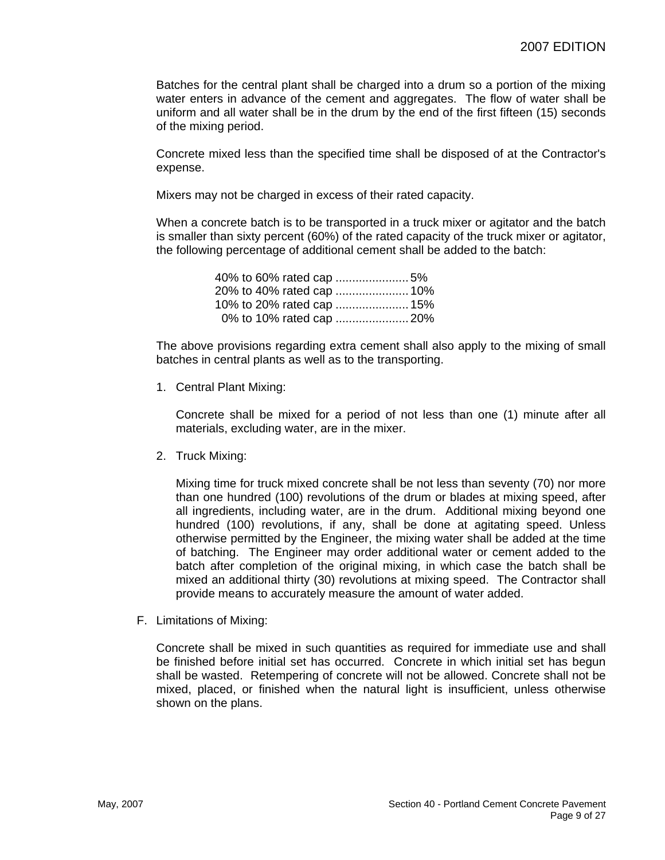Batches for the central plant shall be charged into a drum so a portion of the mixing water enters in advance of the cement and aggregates. The flow of water shall be uniform and all water shall be in the drum by the end of the first fifteen (15) seconds of the mixing period.

Concrete mixed less than the specified time shall be disposed of at the Contractor's expense.

Mixers may not be charged in excess of their rated capacity.

When a concrete batch is to be transported in a truck mixer or agitator and the batch is smaller than sixty percent (60%) of the rated capacity of the truck mixer or agitator, the following percentage of additional cement shall be added to the batch:

|  |  | 40% to 60% rated cap 5%   |  |
|--|--|---------------------------|--|
|  |  |                           |  |
|  |  | 10% to 20% rated cap  15% |  |
|  |  |                           |  |

The above provisions regarding extra cement shall also apply to the mixing of small batches in central plants as well as to the transporting.

1. Central Plant Mixing:

Concrete shall be mixed for a period of not less than one (1) minute after all materials, excluding water, are in the mixer.

2. Truck Mixing:

Mixing time for truck mixed concrete shall be not less than seventy (70) nor more than one hundred (100) revolutions of the drum or blades at mixing speed, after all ingredients, including water, are in the drum. Additional mixing beyond one hundred (100) revolutions, if any, shall be done at agitating speed. Unless otherwise permitted by the Engineer, the mixing water shall be added at the time of batching. The Engineer may order additional water or cement added to the batch after completion of the original mixing, in which case the batch shall be mixed an additional thirty (30) revolutions at mixing speed. The Contractor shall provide means to accurately measure the amount of water added.

F. Limitations of Mixing:

Concrete shall be mixed in such quantities as required for immediate use and shall be finished before initial set has occurred. Concrete in which initial set has begun shall be wasted. Retempering of concrete will not be allowed. Concrete shall not be mixed, placed, or finished when the natural light is insufficient, unless otherwise shown on the plans.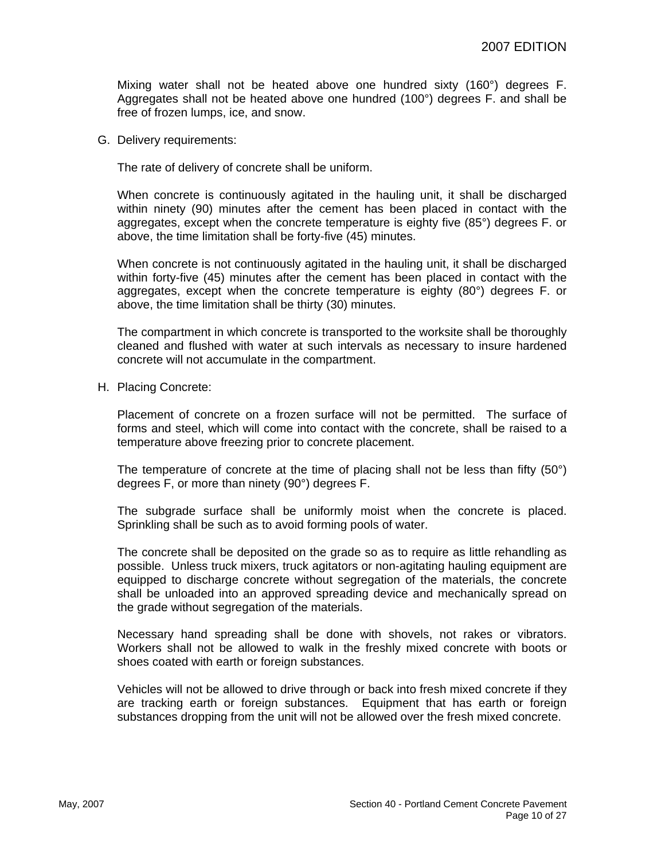Mixing water shall not be heated above one hundred sixty (160°) degrees F. Aggregates shall not be heated above one hundred (100°) degrees F. and shall be free of frozen lumps, ice, and snow.

G. Delivery requirements:

The rate of delivery of concrete shall be uniform.

When concrete is continuously agitated in the hauling unit, it shall be discharged within ninety (90) minutes after the cement has been placed in contact with the aggregates, except when the concrete temperature is eighty five (85°) degrees F. or above, the time limitation shall be forty-five (45) minutes.

When concrete is not continuously agitated in the hauling unit, it shall be discharged within forty-five (45) minutes after the cement has been placed in contact with the aggregates, except when the concrete temperature is eighty  $(80^\circ)$  degrees F. or above, the time limitation shall be thirty (30) minutes.

The compartment in which concrete is transported to the worksite shall be thoroughly cleaned and flushed with water at such intervals as necessary to insure hardened concrete will not accumulate in the compartment.

H. Placing Concrete:

Placement of concrete on a frozen surface will not be permitted. The surface of forms and steel, which will come into contact with the concrete, shall be raised to a temperature above freezing prior to concrete placement.

The temperature of concrete at the time of placing shall not be less than fifty (50°) degrees F, or more than ninety (90°) degrees F.

The subgrade surface shall be uniformly moist when the concrete is placed. Sprinkling shall be such as to avoid forming pools of water.

The concrete shall be deposited on the grade so as to require as little rehandling as possible. Unless truck mixers, truck agitators or non-agitating hauling equipment are equipped to discharge concrete without segregation of the materials, the concrete shall be unloaded into an approved spreading device and mechanically spread on the grade without segregation of the materials.

Necessary hand spreading shall be done with shovels, not rakes or vibrators. Workers shall not be allowed to walk in the freshly mixed concrete with boots or shoes coated with earth or foreign substances.

Vehicles will not be allowed to drive through or back into fresh mixed concrete if they are tracking earth or foreign substances. Equipment that has earth or foreign substances dropping from the unit will not be allowed over the fresh mixed concrete.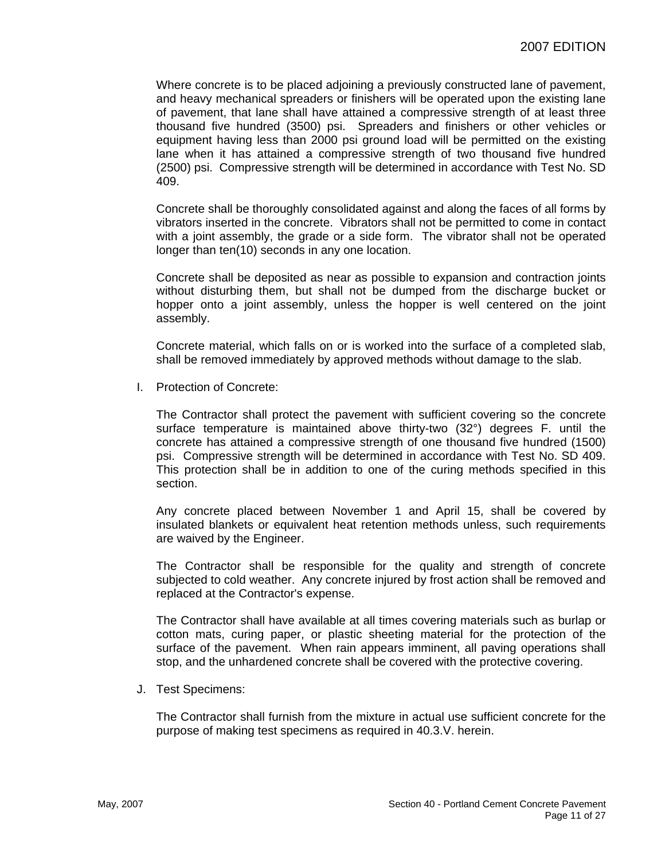Where concrete is to be placed adjoining a previously constructed lane of pavement, and heavy mechanical spreaders or finishers will be operated upon the existing lane of pavement, that lane shall have attained a compressive strength of at least three thousand five hundred (3500) psi. Spreaders and finishers or other vehicles or equipment having less than 2000 psi ground load will be permitted on the existing lane when it has attained a compressive strength of two thousand five hundred (2500) psi. Compressive strength will be determined in accordance with Test No. SD 409.

Concrete shall be thoroughly consolidated against and along the faces of all forms by vibrators inserted in the concrete. Vibrators shall not be permitted to come in contact with a joint assembly, the grade or a side form. The vibrator shall not be operated longer than ten(10) seconds in any one location.

Concrete shall be deposited as near as possible to expansion and contraction joints without disturbing them, but shall not be dumped from the discharge bucket or hopper onto a joint assembly, unless the hopper is well centered on the joint assembly.

Concrete material, which falls on or is worked into the surface of a completed slab, shall be removed immediately by approved methods without damage to the slab.

I. Protection of Concrete:

The Contractor shall protect the pavement with sufficient covering so the concrete surface temperature is maintained above thirty-two (32°) degrees F. until the concrete has attained a compressive strength of one thousand five hundred (1500) psi. Compressive strength will be determined in accordance with Test No. SD 409. This protection shall be in addition to one of the curing methods specified in this section.

Any concrete placed between November 1 and April 15, shall be covered by insulated blankets or equivalent heat retention methods unless, such requirements are waived by the Engineer.

The Contractor shall be responsible for the quality and strength of concrete subjected to cold weather. Any concrete injured by frost action shall be removed and replaced at the Contractor's expense.

The Contractor shall have available at all times covering materials such as burlap or cotton mats, curing paper, or plastic sheeting material for the protection of the surface of the pavement. When rain appears imminent, all paving operations shall stop, and the unhardened concrete shall be covered with the protective covering.

J. Test Specimens:

The Contractor shall furnish from the mixture in actual use sufficient concrete for the purpose of making test specimens as required in 40.3.V. herein.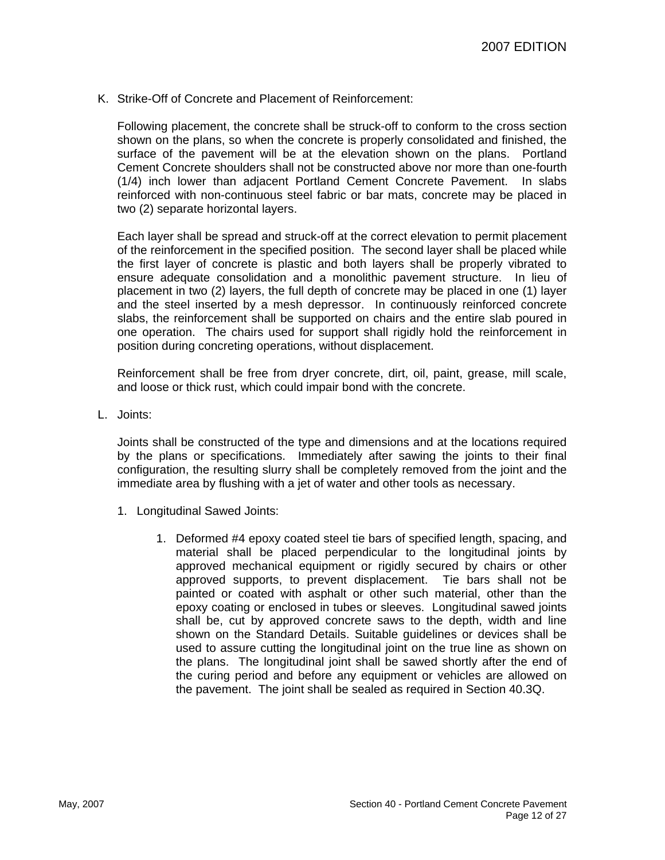K. Strike-Off of Concrete and Placement of Reinforcement:

Following placement, the concrete shall be struck-off to conform to the cross section shown on the plans, so when the concrete is properly consolidated and finished, the surface of the pavement will be at the elevation shown on the plans. Portland Cement Concrete shoulders shall not be constructed above nor more than one-fourth (1/4) inch lower than adjacent Portland Cement Concrete Pavement. In slabs reinforced with non-continuous steel fabric or bar mats, concrete may be placed in two (2) separate horizontal layers.

Each layer shall be spread and struck-off at the correct elevation to permit placement of the reinforcement in the specified position. The second layer shall be placed while the first layer of concrete is plastic and both layers shall be properly vibrated to ensure adequate consolidation and a monolithic pavement structure. In lieu of placement in two (2) layers, the full depth of concrete may be placed in one (1) layer and the steel inserted by a mesh depressor. In continuously reinforced concrete slabs, the reinforcement shall be supported on chairs and the entire slab poured in one operation. The chairs used for support shall rigidly hold the reinforcement in position during concreting operations, without displacement.

Reinforcement shall be free from dryer concrete, dirt, oil, paint, grease, mill scale, and loose or thick rust, which could impair bond with the concrete.

L. Joints:

Joints shall be constructed of the type and dimensions and at the locations required by the plans or specifications. Immediately after sawing the joints to their final configuration, the resulting slurry shall be completely removed from the joint and the immediate area by flushing with a jet of water and other tools as necessary.

- 1. Longitudinal Sawed Joints:
	- 1. Deformed #4 epoxy coated steel tie bars of specified length, spacing, and material shall be placed perpendicular to the longitudinal joints by approved mechanical equipment or rigidly secured by chairs or other approved supports, to prevent displacement. Tie bars shall not be painted or coated with asphalt or other such material, other than the epoxy coating or enclosed in tubes or sleeves. Longitudinal sawed joints shall be, cut by approved concrete saws to the depth, width and line shown on the Standard Details. Suitable guidelines or devices shall be used to assure cutting the longitudinal joint on the true line as shown on the plans. The longitudinal joint shall be sawed shortly after the end of the curing period and before any equipment or vehicles are allowed on the pavement. The joint shall be sealed as required in Section 40.3Q.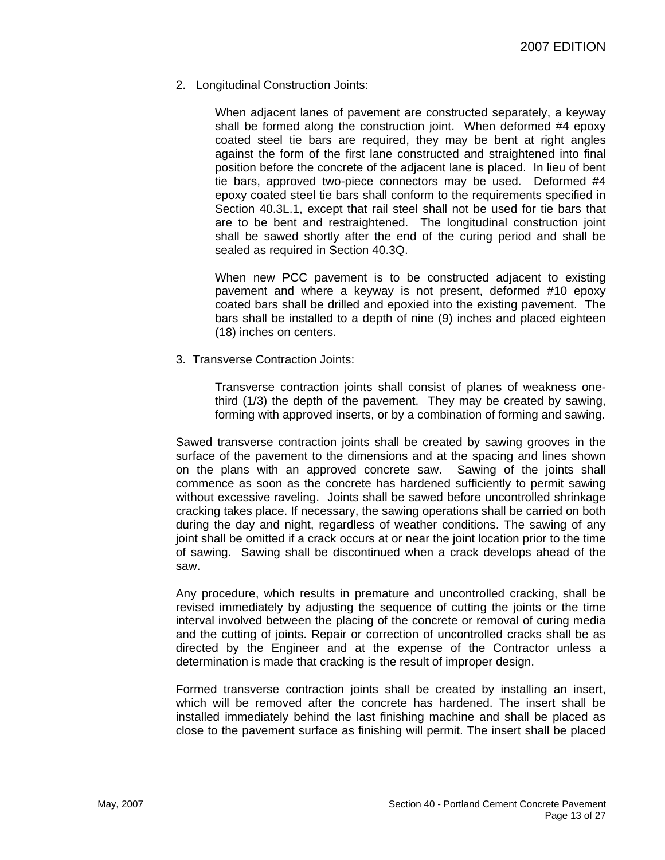2. Longitudinal Construction Joints:

When adjacent lanes of pavement are constructed separately, a keyway shall be formed along the construction joint. When deformed #4 epoxy coated steel tie bars are required, they may be bent at right angles against the form of the first lane constructed and straightened into final position before the concrete of the adjacent lane is placed. In lieu of bent tie bars, approved two-piece connectors may be used. Deformed #4 epoxy coated steel tie bars shall conform to the requirements specified in Section 40.3L.1, except that rail steel shall not be used for tie bars that are to be bent and restraightened. The longitudinal construction joint shall be sawed shortly after the end of the curing period and shall be sealed as required in Section 40.3Q.

When new PCC pavement is to be constructed adjacent to existing pavement and where a keyway is not present, deformed #10 epoxy coated bars shall be drilled and epoxied into the existing pavement. The bars shall be installed to a depth of nine (9) inches and placed eighteen (18) inches on centers.

3. Transverse Contraction Joints:

Transverse contraction joints shall consist of planes of weakness onethird (1/3) the depth of the pavement. They may be created by sawing, forming with approved inserts, or by a combination of forming and sawing.

Sawed transverse contraction joints shall be created by sawing grooves in the surface of the pavement to the dimensions and at the spacing and lines shown on the plans with an approved concrete saw. Sawing of the joints shall commence as soon as the concrete has hardened sufficiently to permit sawing without excessive raveling. Joints shall be sawed before uncontrolled shrinkage cracking takes place. If necessary, the sawing operations shall be carried on both during the day and night, regardless of weather conditions. The sawing of any joint shall be omitted if a crack occurs at or near the joint location prior to the time of sawing. Sawing shall be discontinued when a crack develops ahead of the saw.

Any procedure, which results in premature and uncontrolled cracking, shall be revised immediately by adjusting the sequence of cutting the joints or the time interval involved between the placing of the concrete or removal of curing media and the cutting of joints. Repair or correction of uncontrolled cracks shall be as directed by the Engineer and at the expense of the Contractor unless a determination is made that cracking is the result of improper design.

Formed transverse contraction joints shall be created by installing an insert, which will be removed after the concrete has hardened. The insert shall be installed immediately behind the last finishing machine and shall be placed as close to the pavement surface as finishing will permit. The insert shall be placed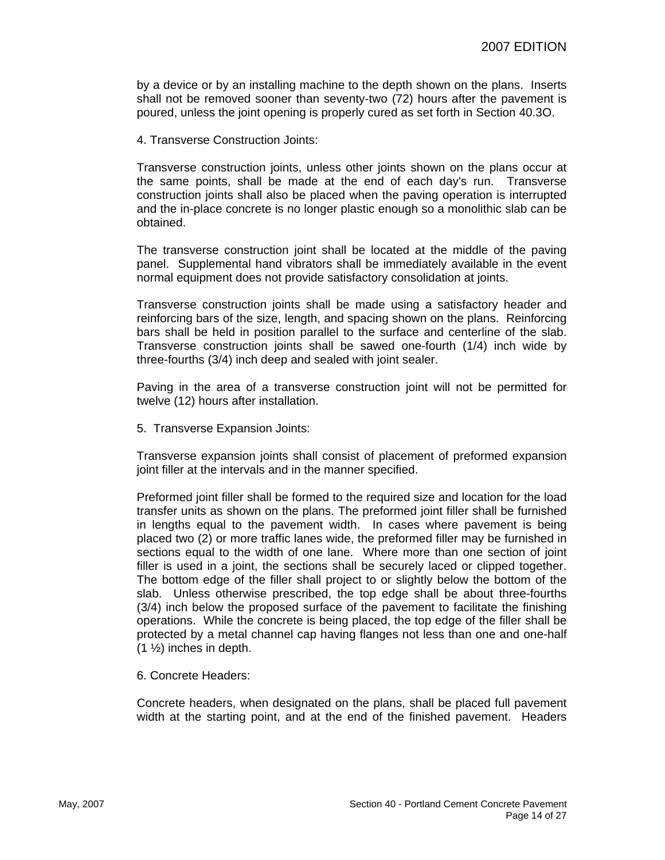by a device or by an installing machine to the depth shown on the plans. Inserts shall not be removed sooner than seventy-two (72) hours after the pavement is poured, unless the joint opening is properly cured as set forth in Section 40.3O.

4. Transverse Construction Joints:

Transverse construction joints, unless other joints shown on the plans occur at the same points, shall be made at the end of each day's run. Transverse construction joints shall also be placed when the paving operation is interrupted and the in-place concrete is no longer plastic enough so a monolithic slab can be obtained.

The transverse construction joint shall be located at the middle of the paving panel. Supplemental hand vibrators shall be immediately available in the event normal equipment does not provide satisfactory consolidation at joints.

Transverse construction joints shall be made using a satisfactory header and reinforcing bars of the size, length, and spacing shown on the plans. Reinforcing bars shall be held in position parallel to the surface and centerline of the slab. Transverse construction joints shall be sawed one-fourth (1/4) inch wide by three-fourths (3/4) inch deep and sealed with joint sealer.

Paving in the area of a transverse construction joint will not be permitted for twelve (12) hours after installation.

5. Transverse Expansion Joints:

Transverse expansion joints shall consist of placement of preformed expansion joint filler at the intervals and in the manner specified.

Preformed joint filler shall be formed to the required size and location for the load transfer units as shown on the plans. The preformed joint filler shall be furnished in lengths equal to the pavement width. In cases where pavement is being placed two (2) or more traffic lanes wide, the preformed filler may be furnished in sections equal to the width of one lane. Where more than one section of joint filler is used in a joint, the sections shall be securely laced or clipped together. The bottom edge of the filler shall project to or slightly below the bottom of the slab. Unless otherwise prescribed, the top edge shall be about three-fourths (3/4) inch below the proposed surface of the pavement to facilitate the finishing operations. While the concrete is being placed, the top edge of the filler shall be protected by a metal channel cap having flanges not less than one and one-half (1 ½) inches in depth.

6. Concrete Headers:

Concrete headers, when designated on the plans, shall be placed full pavement width at the starting point, and at the end of the finished pavement. Headers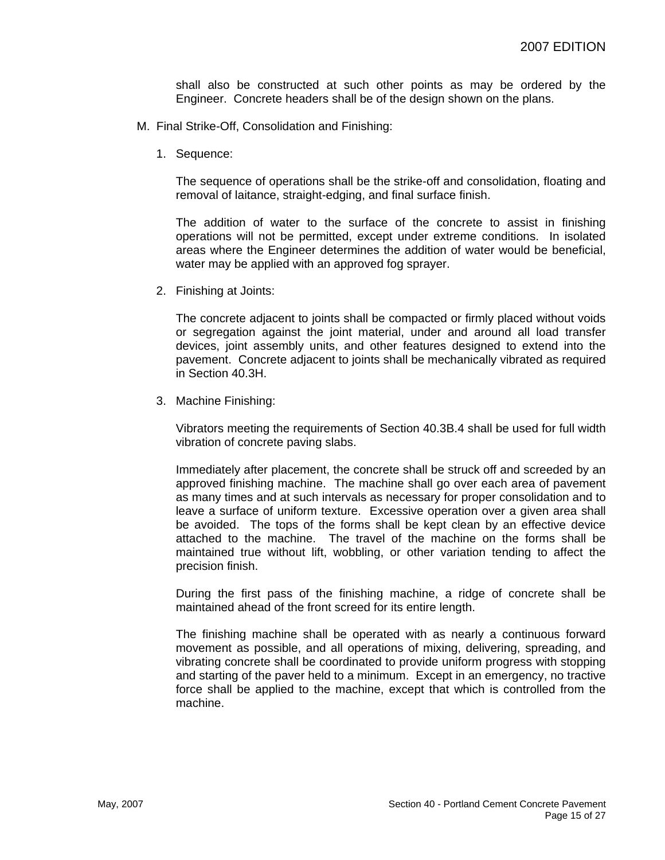shall also be constructed at such other points as may be ordered by the Engineer. Concrete headers shall be of the design shown on the plans.

- M. Final Strike-Off, Consolidation and Finishing:
	- 1. Sequence:

The sequence of operations shall be the strike-off and consolidation, floating and removal of laitance, straight-edging, and final surface finish.

The addition of water to the surface of the concrete to assist in finishing operations will not be permitted, except under extreme conditions. In isolated areas where the Engineer determines the addition of water would be beneficial, water may be applied with an approved fog sprayer.

2. Finishing at Joints:

The concrete adjacent to joints shall be compacted or firmly placed without voids or segregation against the joint material, under and around all load transfer devices, joint assembly units, and other features designed to extend into the pavement. Concrete adjacent to joints shall be mechanically vibrated as required in Section 40.3H.

3. Machine Finishing:

Vibrators meeting the requirements of Section 40.3B.4 shall be used for full width vibration of concrete paving slabs.

Immediately after placement, the concrete shall be struck off and screeded by an approved finishing machine. The machine shall go over each area of pavement as many times and at such intervals as necessary for proper consolidation and to leave a surface of uniform texture. Excessive operation over a given area shall be avoided. The tops of the forms shall be kept clean by an effective device attached to the machine. The travel of the machine on the forms shall be maintained true without lift, wobbling, or other variation tending to affect the precision finish.

During the first pass of the finishing machine, a ridge of concrete shall be maintained ahead of the front screed for its entire length.

The finishing machine shall be operated with as nearly a continuous forward movement as possible, and all operations of mixing, delivering, spreading, and vibrating concrete shall be coordinated to provide uniform progress with stopping and starting of the paver held to a minimum. Except in an emergency, no tractive force shall be applied to the machine, except that which is controlled from the machine.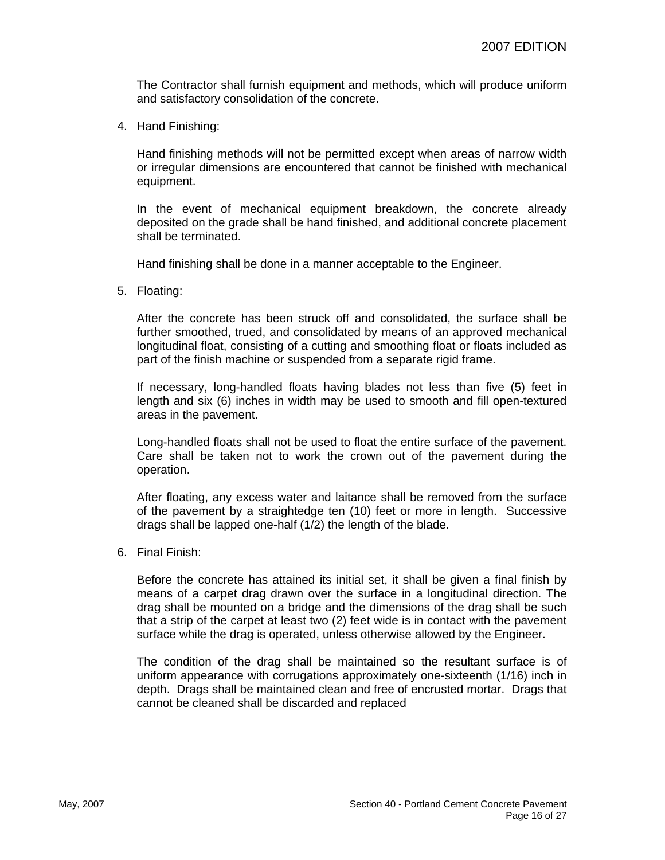The Contractor shall furnish equipment and methods, which will produce uniform and satisfactory consolidation of the concrete.

4. Hand Finishing:

Hand finishing methods will not be permitted except when areas of narrow width or irregular dimensions are encountered that cannot be finished with mechanical equipment.

In the event of mechanical equipment breakdown, the concrete already deposited on the grade shall be hand finished, and additional concrete placement shall be terminated.

Hand finishing shall be done in a manner acceptable to the Engineer.

5. Floating:

After the concrete has been struck off and consolidated, the surface shall be further smoothed, trued, and consolidated by means of an approved mechanical longitudinal float, consisting of a cutting and smoothing float or floats included as part of the finish machine or suspended from a separate rigid frame.

If necessary, long-handled floats having blades not less than five (5) feet in length and six (6) inches in width may be used to smooth and fill open-textured areas in the pavement.

Long-handled floats shall not be used to float the entire surface of the pavement. Care shall be taken not to work the crown out of the pavement during the operation.

After floating, any excess water and laitance shall be removed from the surface of the pavement by a straightedge ten (10) feet or more in length. Successive drags shall be lapped one-half (1/2) the length of the blade.

6. Final Finish:

Before the concrete has attained its initial set, it shall be given a final finish by means of a carpet drag drawn over the surface in a longitudinal direction. The drag shall be mounted on a bridge and the dimensions of the drag shall be such that a strip of the carpet at least two (2) feet wide is in contact with the pavement surface while the drag is operated, unless otherwise allowed by the Engineer.

The condition of the drag shall be maintained so the resultant surface is of uniform appearance with corrugations approximately one-sixteenth (1/16) inch in depth. Drags shall be maintained clean and free of encrusted mortar. Drags that cannot be cleaned shall be discarded and replaced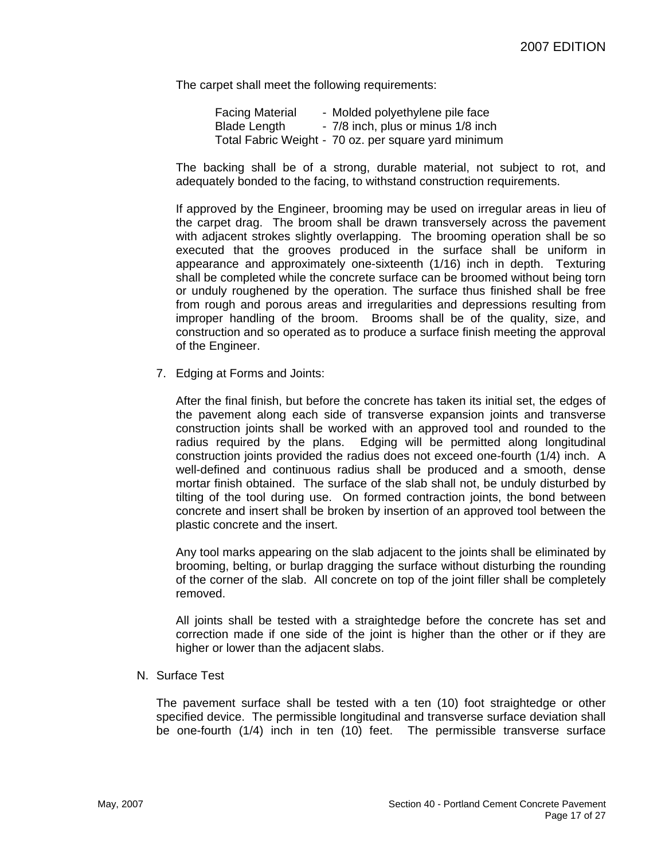The carpet shall meet the following requirements:

| <b>Facing Material</b> | - Molded polyethylene pile face                      |
|------------------------|------------------------------------------------------|
| <b>Blade Length</b>    | - 7/8 inch, plus or minus 1/8 inch                   |
|                        | Total Fabric Weight - 70 oz. per square yard minimum |

The backing shall be of a strong, durable material, not subject to rot, and adequately bonded to the facing, to withstand construction requirements.

If approved by the Engineer, brooming may be used on irregular areas in lieu of the carpet drag. The broom shall be drawn transversely across the pavement with adjacent strokes slightly overlapping. The brooming operation shall be so executed that the grooves produced in the surface shall be uniform in appearance and approximately one-sixteenth (1/16) inch in depth. Texturing shall be completed while the concrete surface can be broomed without being torn or unduly roughened by the operation. The surface thus finished shall be free from rough and porous areas and irregularities and depressions resulting from improper handling of the broom. Brooms shall be of the quality, size, and construction and so operated as to produce a surface finish meeting the approval of the Engineer.

7. Edging at Forms and Joints:

After the final finish, but before the concrete has taken its initial set, the edges of the pavement along each side of transverse expansion joints and transverse construction joints shall be worked with an approved tool and rounded to the radius required by the plans. Edging will be permitted along longitudinal construction joints provided the radius does not exceed one-fourth (1/4) inch. A well-defined and continuous radius shall be produced and a smooth, dense mortar finish obtained. The surface of the slab shall not, be unduly disturbed by tilting of the tool during use. On formed contraction joints, the bond between concrete and insert shall be broken by insertion of an approved tool between the plastic concrete and the insert.

Any tool marks appearing on the slab adjacent to the joints shall be eliminated by brooming, belting, or burlap dragging the surface without disturbing the rounding of the corner of the slab. All concrete on top of the joint filler shall be completely removed.

All joints shall be tested with a straightedge before the concrete has set and correction made if one side of the joint is higher than the other or if they are higher or lower than the adjacent slabs.

N. Surface Test

The pavement surface shall be tested with a ten (10) foot straightedge or other specified device. The permissible longitudinal and transverse surface deviation shall be one-fourth (1/4) inch in ten (10) feet. The permissible transverse surface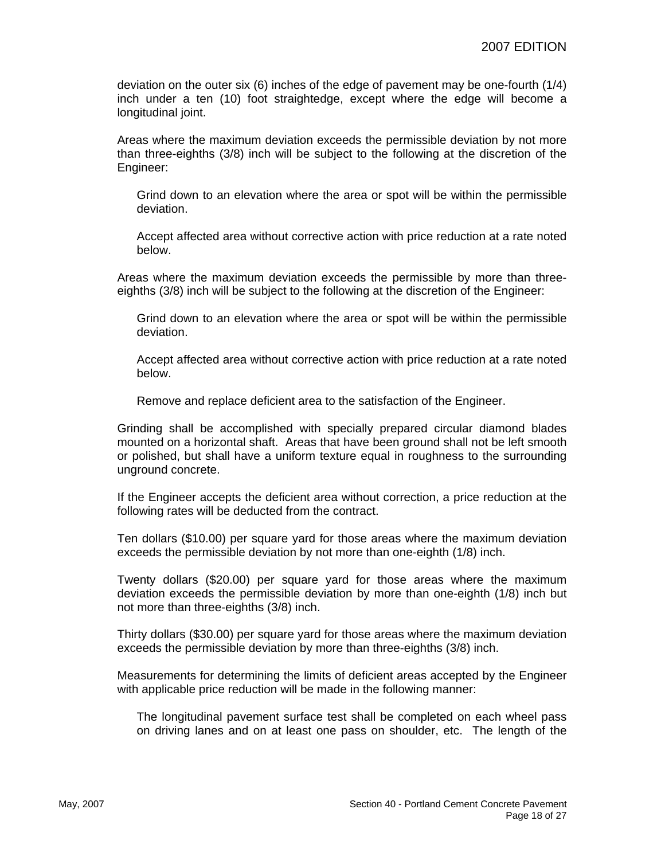deviation on the outer six (6) inches of the edge of pavement may be one-fourth (1/4) inch under a ten (10) foot straightedge, except where the edge will become a longitudinal joint.

Areas where the maximum deviation exceeds the permissible deviation by not more than three-eighths (3/8) inch will be subject to the following at the discretion of the Engineer:

Grind down to an elevation where the area or spot will be within the permissible deviation.

Accept affected area without corrective action with price reduction at a rate noted below.

Areas where the maximum deviation exceeds the permissible by more than threeeighths (3/8) inch will be subject to the following at the discretion of the Engineer:

Grind down to an elevation where the area or spot will be within the permissible deviation.

Accept affected area without corrective action with price reduction at a rate noted below.

Remove and replace deficient area to the satisfaction of the Engineer.

Grinding shall be accomplished with specially prepared circular diamond blades mounted on a horizontal shaft. Areas that have been ground shall not be left smooth or polished, but shall have a uniform texture equal in roughness to the surrounding unground concrete.

If the Engineer accepts the deficient area without correction, a price reduction at the following rates will be deducted from the contract.

Ten dollars (\$10.00) per square yard for those areas where the maximum deviation exceeds the permissible deviation by not more than one-eighth (1/8) inch.

Twenty dollars (\$20.00) per square yard for those areas where the maximum deviation exceeds the permissible deviation by more than one-eighth (1/8) inch but not more than three-eighths (3/8) inch.

Thirty dollars (\$30.00) per square yard for those areas where the maximum deviation exceeds the permissible deviation by more than three-eighths (3/8) inch.

Measurements for determining the limits of deficient areas accepted by the Engineer with applicable price reduction will be made in the following manner:

The longitudinal pavement surface test shall be completed on each wheel pass on driving lanes and on at least one pass on shoulder, etc. The length of the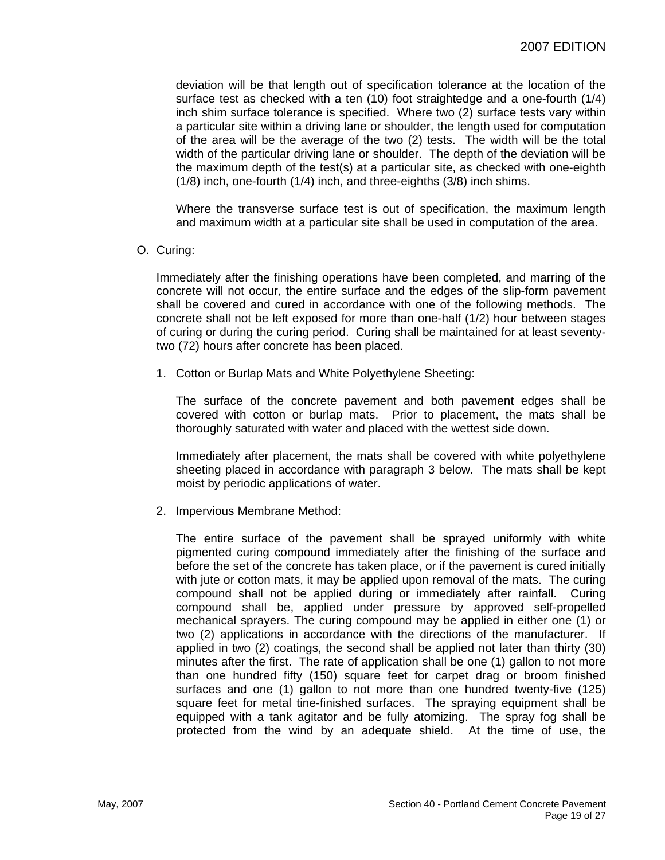deviation will be that length out of specification tolerance at the location of the surface test as checked with a ten (10) foot straightedge and a one-fourth (1/4) inch shim surface tolerance is specified. Where two (2) surface tests vary within a particular site within a driving lane or shoulder, the length used for computation of the area will be the average of the two (2) tests. The width will be the total width of the particular driving lane or shoulder. The depth of the deviation will be the maximum depth of the test(s) at a particular site, as checked with one-eighth (1/8) inch, one-fourth (1/4) inch, and three-eighths (3/8) inch shims.

Where the transverse surface test is out of specification, the maximum length and maximum width at a particular site shall be used in computation of the area.

#### O. Curing:

Immediately after the finishing operations have been completed, and marring of the concrete will not occur, the entire surface and the edges of the slip-form pavement shall be covered and cured in accordance with one of the following methods. The concrete shall not be left exposed for more than one-half (1/2) hour between stages of curing or during the curing period. Curing shall be maintained for at least seventytwo (72) hours after concrete has been placed.

1. Cotton or Burlap Mats and White Polyethylene Sheeting:

The surface of the concrete pavement and both pavement edges shall be covered with cotton or burlap mats. Prior to placement, the mats shall be thoroughly saturated with water and placed with the wettest side down.

Immediately after placement, the mats shall be covered with white polyethylene sheeting placed in accordance with paragraph 3 below. The mats shall be kept moist by periodic applications of water.

2. Impervious Membrane Method:

The entire surface of the pavement shall be sprayed uniformly with white pigmented curing compound immediately after the finishing of the surface and before the set of the concrete has taken place, or if the pavement is cured initially with jute or cotton mats, it may be applied upon removal of the mats. The curing compound shall not be applied during or immediately after rainfall. Curing compound shall be, applied under pressure by approved self-propelled mechanical sprayers. The curing compound may be applied in either one (1) or two (2) applications in accordance with the directions of the manufacturer. If applied in two (2) coatings, the second shall be applied not later than thirty (30) minutes after the first. The rate of application shall be one (1) gallon to not more than one hundred fifty (150) square feet for carpet drag or broom finished surfaces and one (1) gallon to not more than one hundred twenty-five (125) square feet for metal tine-finished surfaces. The spraying equipment shall be equipped with a tank agitator and be fully atomizing. The spray fog shall be protected from the wind by an adequate shield. At the time of use, the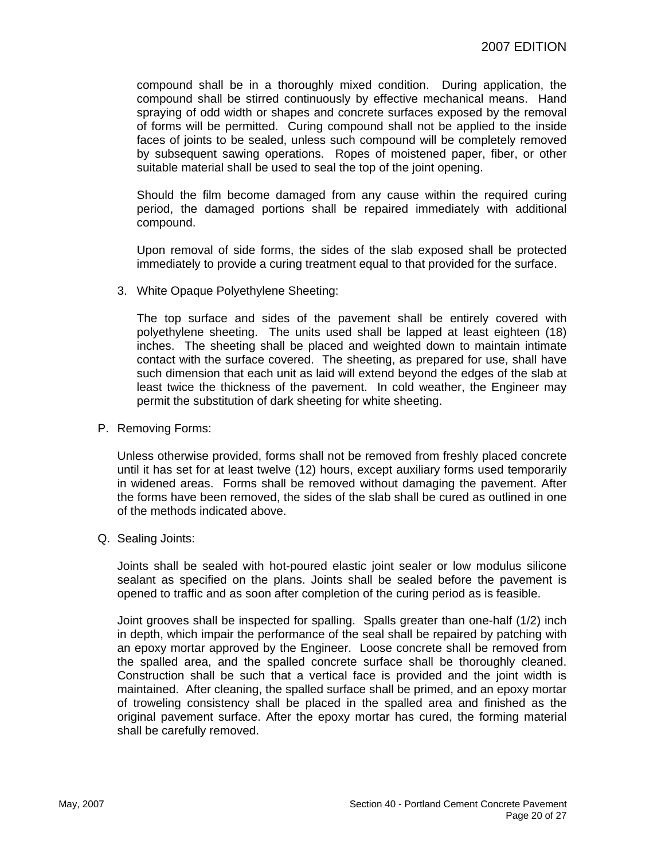compound shall be in a thoroughly mixed condition. During application, the compound shall be stirred continuously by effective mechanical means. Hand spraying of odd width or shapes and concrete surfaces exposed by the removal of forms will be permitted. Curing compound shall not be applied to the inside faces of joints to be sealed, unless such compound will be completely removed by subsequent sawing operations. Ropes of moistened paper, fiber, or other suitable material shall be used to seal the top of the joint opening.

Should the film become damaged from any cause within the required curing period, the damaged portions shall be repaired immediately with additional compound.

Upon removal of side forms, the sides of the slab exposed shall be protected immediately to provide a curing treatment equal to that provided for the surface.

3. White Opaque Polyethylene Sheeting:

The top surface and sides of the pavement shall be entirely covered with polyethylene sheeting. The units used shall be lapped at least eighteen (18) inches. The sheeting shall be placed and weighted down to maintain intimate contact with the surface covered. The sheeting, as prepared for use, shall have such dimension that each unit as laid will extend beyond the edges of the slab at least twice the thickness of the pavement. In cold weather, the Engineer may permit the substitution of dark sheeting for white sheeting.

P. Removing Forms:

Unless otherwise provided, forms shall not be removed from freshly placed concrete until it has set for at least twelve (12) hours, except auxiliary forms used temporarily in widened areas. Forms shall be removed without damaging the pavement. After the forms have been removed, the sides of the slab shall be cured as outlined in one of the methods indicated above.

Q. Sealing Joints:

Joints shall be sealed with hot-poured elastic joint sealer or low modulus silicone sealant as specified on the plans. Joints shall be sealed before the pavement is opened to traffic and as soon after completion of the curing period as is feasible.

Joint grooves shall be inspected for spalling. Spalls greater than one-half (1/2) inch in depth, which impair the performance of the seal shall be repaired by patching with an epoxy mortar approved by the Engineer. Loose concrete shall be removed from the spalled area, and the spalled concrete surface shall be thoroughly cleaned. Construction shall be such that a vertical face is provided and the joint width is maintained. After cleaning, the spalled surface shall be primed, and an epoxy mortar of troweling consistency shall be placed in the spalled area and finished as the original pavement surface. After the epoxy mortar has cured, the forming material shall be carefully removed.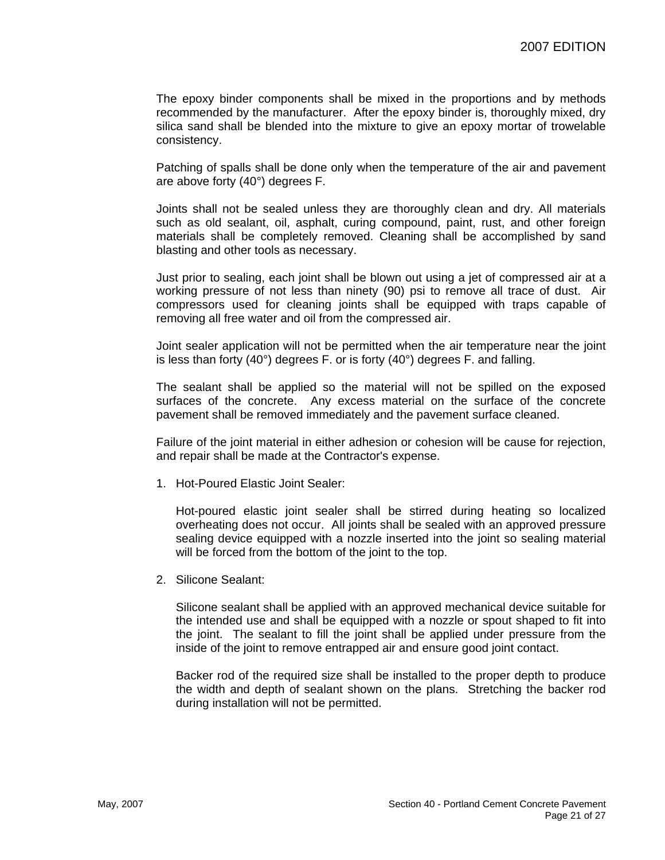The epoxy binder components shall be mixed in the proportions and by methods recommended by the manufacturer. After the epoxy binder is, thoroughly mixed, dry silica sand shall be blended into the mixture to give an epoxy mortar of trowelable consistency.

Patching of spalls shall be done only when the temperature of the air and pavement are above forty (40°) degrees F.

Joints shall not be sealed unless they are thoroughly clean and dry. All materials such as old sealant, oil, asphalt, curing compound, paint, rust, and other foreign materials shall be completely removed. Cleaning shall be accomplished by sand blasting and other tools as necessary.

Just prior to sealing, each joint shall be blown out using a jet of compressed air at a working pressure of not less than ninety (90) psi to remove all trace of dust. Air compressors used for cleaning joints shall be equipped with traps capable of removing all free water and oil from the compressed air.

Joint sealer application will not be permitted when the air temperature near the joint is less than forty (40°) degrees F. or is forty (40°) degrees F. and falling.

The sealant shall be applied so the material will not be spilled on the exposed surfaces of the concrete. Any excess material on the surface of the concrete pavement shall be removed immediately and the pavement surface cleaned.

Failure of the joint material in either adhesion or cohesion will be cause for rejection, and repair shall be made at the Contractor's expense.

1. Hot-Poured Elastic Joint Sealer:

Hot-poured elastic joint sealer shall be stirred during heating so localized overheating does not occur. All joints shall be sealed with an approved pressure sealing device equipped with a nozzle inserted into the joint so sealing material will be forced from the bottom of the joint to the top.

2. Silicone Sealant:

Silicone sealant shall be applied with an approved mechanical device suitable for the intended use and shall be equipped with a nozzle or spout shaped to fit into the joint. The sealant to fill the joint shall be applied under pressure from the inside of the joint to remove entrapped air and ensure good joint contact.

Backer rod of the required size shall be installed to the proper depth to produce the width and depth of sealant shown on the plans. Stretching the backer rod during installation will not be permitted.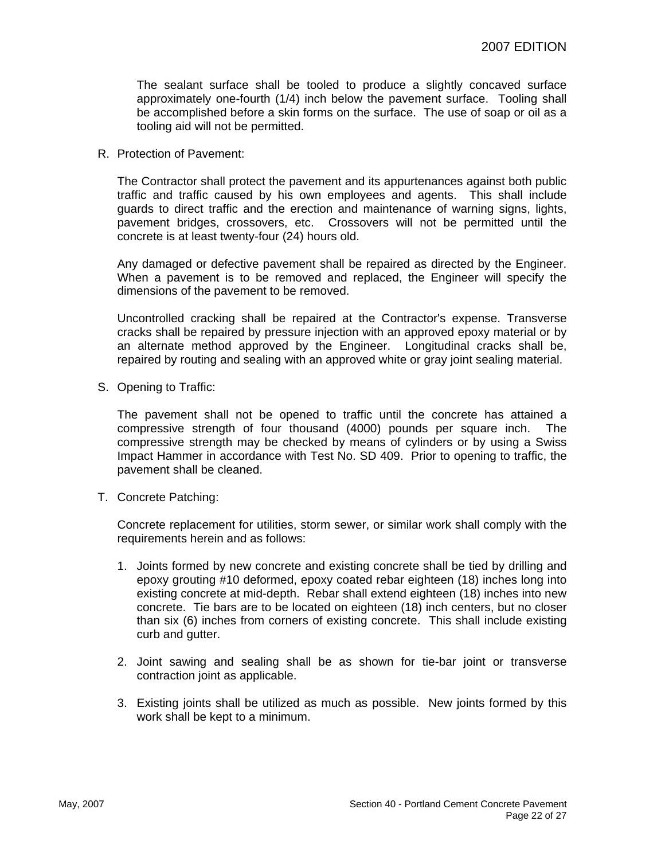The sealant surface shall be tooled to produce a slightly concaved surface approximately one-fourth (1/4) inch below the pavement surface. Tooling shall be accomplished before a skin forms on the surface. The use of soap or oil as a tooling aid will not be permitted.

R. Protection of Pavement:

The Contractor shall protect the pavement and its appurtenances against both public traffic and traffic caused by his own employees and agents. This shall include guards to direct traffic and the erection and maintenance of warning signs, lights, pavement bridges, crossovers, etc. Crossovers will not be permitted until the concrete is at least twenty-four (24) hours old.

Any damaged or defective pavement shall be repaired as directed by the Engineer. When a pavement is to be removed and replaced, the Engineer will specify the dimensions of the pavement to be removed.

Uncontrolled cracking shall be repaired at the Contractor's expense. Transverse cracks shall be repaired by pressure injection with an approved epoxy material or by an alternate method approved by the Engineer. Longitudinal cracks shall be, repaired by routing and sealing with an approved white or gray joint sealing material.

S. Opening to Traffic:

The pavement shall not be opened to traffic until the concrete has attained a compressive strength of four thousand (4000) pounds per square inch. The compressive strength may be checked by means of cylinders or by using a Swiss Impact Hammer in accordance with Test No. SD 409. Prior to opening to traffic, the pavement shall be cleaned.

T. Concrete Patching:

Concrete replacement for utilities, storm sewer, or similar work shall comply with the requirements herein and as follows:

- 1. Joints formed by new concrete and existing concrete shall be tied by drilling and epoxy grouting #10 deformed, epoxy coated rebar eighteen (18) inches long into existing concrete at mid-depth. Rebar shall extend eighteen (18) inches into new concrete. Tie bars are to be located on eighteen (18) inch centers, but no closer than six (6) inches from corners of existing concrete. This shall include existing curb and gutter.
- 2. Joint sawing and sealing shall be as shown for tie-bar joint or transverse contraction joint as applicable.
- 3. Existing joints shall be utilized as much as possible. New joints formed by this work shall be kept to a minimum.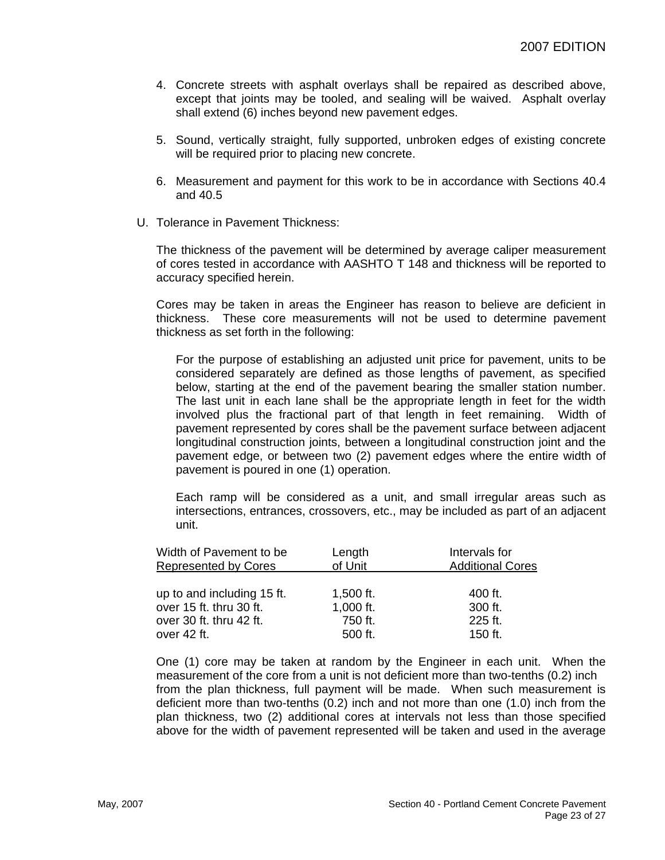- 4. Concrete streets with asphalt overlays shall be repaired as described above, except that joints may be tooled, and sealing will be waived. Asphalt overlay shall extend (6) inches beyond new pavement edges.
- 5. Sound, vertically straight, fully supported, unbroken edges of existing concrete will be required prior to placing new concrete.
- 6. Measurement and payment for this work to be in accordance with Sections 40.4 and 40.5
- U. Tolerance in Pavement Thickness:

The thickness of the pavement will be determined by average caliper measurement of cores tested in accordance with AASHTO T 148 and thickness will be reported to accuracy specified herein.

Cores may be taken in areas the Engineer has reason to believe are deficient in thickness. These core measurements will not be used to determine pavement thickness as set forth in the following:

For the purpose of establishing an adjusted unit price for pavement, units to be considered separately are defined as those lengths of pavement, as specified below, starting at the end of the pavement bearing the smaller station number. The last unit in each lane shall be the appropriate length in feet for the width involved plus the fractional part of that length in feet remaining. Width of pavement represented by cores shall be the pavement surface between adjacent longitudinal construction joints, between a longitudinal construction joint and the pavement edge, or between two (2) pavement edges where the entire width of pavement is poured in one (1) operation.

Each ramp will be considered as a unit, and small irregular areas such as intersections, entrances, crossovers, etc., may be included as part of an adjacent unit.

| Width of Pavement to be<br><b>Represented by Cores</b> | Length<br>of Unit | Intervals for<br><b>Additional Cores</b> |
|--------------------------------------------------------|-------------------|------------------------------------------|
|                                                        |                   |                                          |
| up to and including 15 ft.                             | 1,500 ft.         | 400 ft.                                  |
| over 15 ft. thru 30 ft.                                | 1,000 ft.         | 300 ft.                                  |
| over 30 ft. thru 42 ft.                                | 750 ft.           | 225 ft.                                  |
| over 42 ft.                                            | 500 ft.           | 150 ft.                                  |

One (1) core may be taken at random by the Engineer in each unit. When the measurement of the core from a unit is not deficient more than two-tenths (0.2) inch from the plan thickness, full payment will be made. When such measurement is deficient more than two-tenths (0.2) inch and not more than one (1.0) inch from the plan thickness, two (2) additional cores at intervals not less than those specified above for the width of pavement represented will be taken and used in the average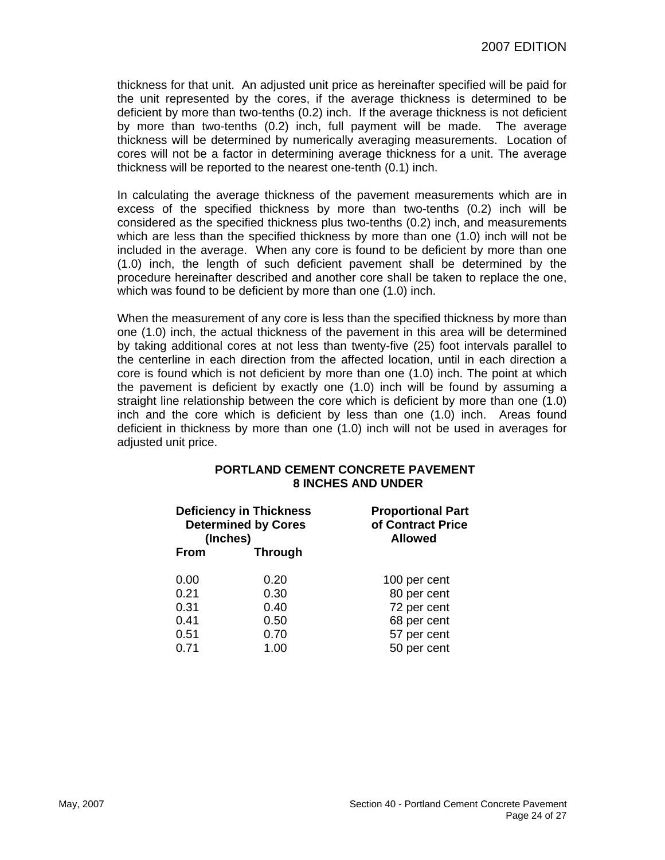thickness for that unit. An adjusted unit price as hereinafter specified will be paid for the unit represented by the cores, if the average thickness is determined to be deficient by more than two-tenths (0.2) inch. If the average thickness is not deficient by more than two-tenths (0.2) inch, full payment will be made. The average thickness will be determined by numerically averaging measurements. Location of cores will not be a factor in determining average thickness for a unit. The average thickness will be reported to the nearest one-tenth (0.1) inch.

In calculating the average thickness of the pavement measurements which are in excess of the specified thickness by more than two-tenths (0.2) inch will be considered as the specified thickness plus two-tenths (0.2) inch, and measurements which are less than the specified thickness by more than one (1.0) inch will not be included in the average. When any core is found to be deficient by more than one (1.0) inch, the length of such deficient pavement shall be determined by the procedure hereinafter described and another core shall be taken to replace the one, which was found to be deficient by more than one (1.0) inch.

When the measurement of any core is less than the specified thickness by more than one (1.0) inch, the actual thickness of the pavement in this area will be determined by taking additional cores at not less than twenty-five (25) foot intervals parallel to the centerline in each direction from the affected location, until in each direction a core is found which is not deficient by more than one (1.0) inch. The point at which the pavement is deficient by exactly one (1.0) inch will be found by assuming a straight line relationship between the core which is deficient by more than one (1.0) inch and the core which is deficient by less than one (1.0) inch. Areas found deficient in thickness by more than one (1.0) inch will not be used in averages for adjusted unit price.

### **PORTLAND CEMENT CONCRETE PAVEMENT 8 INCHES AND UNDER**

|             | <b>Deficiency in Thickness</b><br><b>Determined by Cores</b><br>(Inches) | <b>Proportional Part</b><br>of Contract Price<br><b>Allowed</b> |
|-------------|--------------------------------------------------------------------------|-----------------------------------------------------------------|
| <b>From</b> | <b>Through</b>                                                           |                                                                 |
| 0.00        | 0.20                                                                     | 100 per cent                                                    |
| 0.21        | 0.30                                                                     | 80 per cent                                                     |
| 0.31        | 0.40                                                                     | 72 per cent                                                     |
| 0.41        | 0.50                                                                     | 68 per cent                                                     |
| 0.51        | 0.70                                                                     | 57 per cent                                                     |
| 0.71        | 1.00                                                                     | 50 per cent                                                     |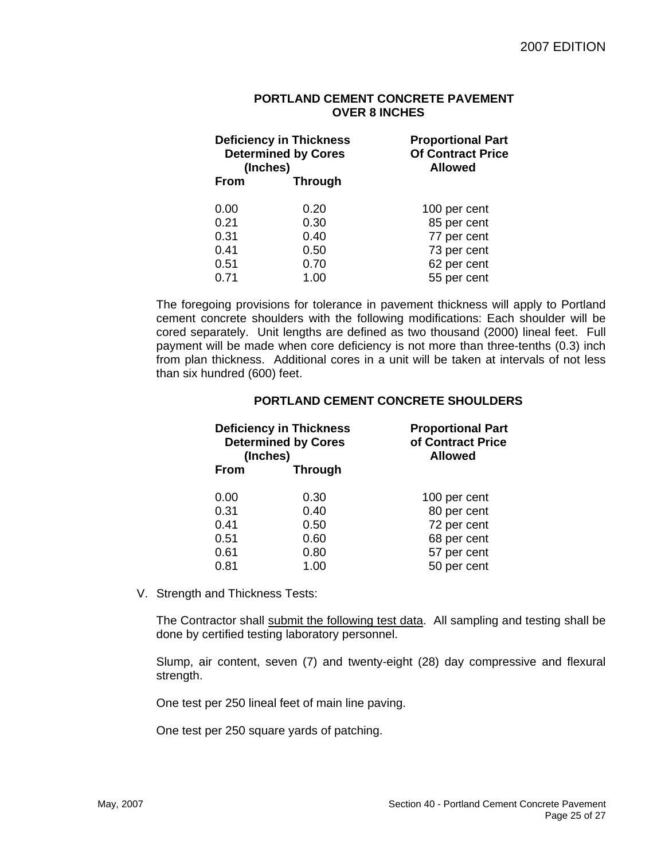#### **PORTLAND CEMENT CONCRETE PAVEMENT OVER 8 INCHES**

|             | <b>Deficiency in Thickness</b><br><b>Determined by Cores</b><br>(Inches) | <b>Proportional Part</b><br><b>Of Contract Price</b><br><b>Allowed</b> |
|-------------|--------------------------------------------------------------------------|------------------------------------------------------------------------|
| <b>From</b> | <b>Through</b>                                                           |                                                                        |
| 0.00        | 0.20                                                                     | 100 per cent                                                           |
| 0.21        | 0.30                                                                     | 85 per cent                                                            |
| 0.31        | 0.40                                                                     | 77 per cent                                                            |
| 0.41        | 0.50                                                                     | 73 per cent                                                            |
| 0.51        | 0.70                                                                     | 62 per cent                                                            |
| 0.71        | 1.00                                                                     | 55 per cent                                                            |

The foregoing provisions for tolerance in pavement thickness will apply to Portland cement concrete shoulders with the following modifications: Each shoulder will be cored separately. Unit lengths are defined as two thousand (2000) lineal feet. Full payment will be made when core deficiency is not more than three-tenths (0.3) inch from plan thickness. Additional cores in a unit will be taken at intervals of not less than six hundred (600) feet.

|             | <b>Deficiency in Thickness</b><br><b>Determined by Cores</b><br>(Inches) | <b>Proportional Part</b><br>of Contract Price<br><b>Allowed</b> |
|-------------|--------------------------------------------------------------------------|-----------------------------------------------------------------|
| <b>From</b> | <b>Through</b>                                                           |                                                                 |
| 0.00        | 0.30                                                                     | 100 per cent                                                    |
| 0.31        | 0.40                                                                     | 80 per cent                                                     |
| 0.41        | 0.50                                                                     | 72 per cent                                                     |
| 0.51        | 0.60                                                                     | 68 per cent                                                     |
| 0.61        | 0.80                                                                     | 57 per cent                                                     |
| 0.81        | 1.00                                                                     | 50 per cent                                                     |

# **PORTLAND CEMENT CONCRETE SHOULDERS**

V. Strength and Thickness Tests:

The Contractor shall submit the following test data. All sampling and testing shall be done by certified testing laboratory personnel.

Slump, air content, seven (7) and twenty-eight (28) day compressive and flexural strength.

One test per 250 lineal feet of main line paving.

One test per 250 square yards of patching.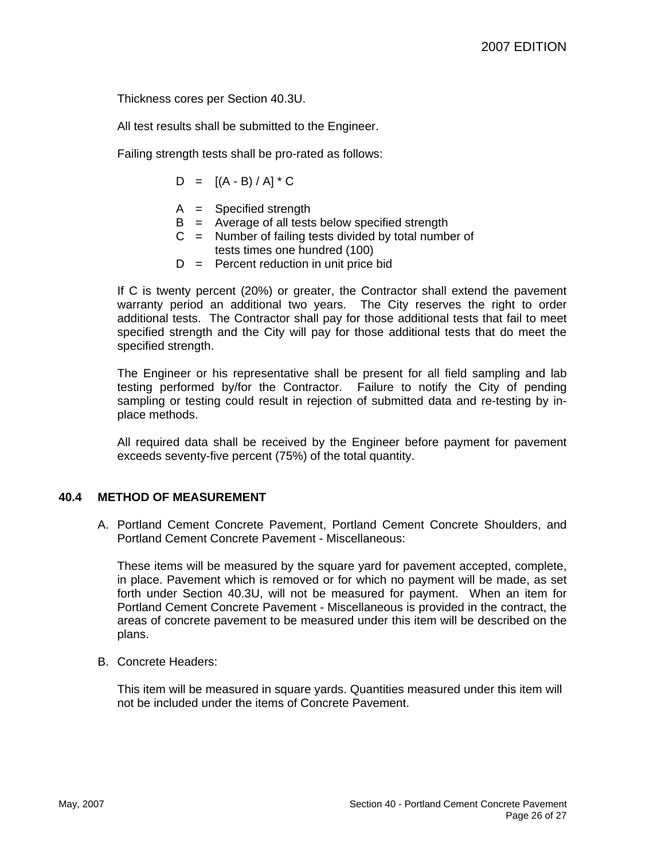Thickness cores per Section 40.3U.

All test results shall be submitted to the Engineer.

Failing strength tests shall be pro-rated as follows:

$$
D = [(A - B) / A] * C
$$

- A = Specified strength
- $B =$  Average of all tests below specified strength
- $C =$  Number of failing tests divided by total number of tests times one hundred (100)
- $D =$  Percent reduction in unit price bid

If C is twenty percent (20%) or greater, the Contractor shall extend the pavement warranty period an additional two years. The City reserves the right to order additional tests. The Contractor shall pay for those additional tests that fail to meet specified strength and the City will pay for those additional tests that do meet the specified strength.

The Engineer or his representative shall be present for all field sampling and lab testing performed by/for the Contractor. Failure to notify the City of pending sampling or testing could result in rejection of submitted data and re-testing by inplace methods.

All required data shall be received by the Engineer before payment for pavement exceeds seventy-five percent (75%) of the total quantity.

# **40.4 METHOD OF MEASUREMENT**

A. Portland Cement Concrete Pavement, Portland Cement Concrete Shoulders, and Portland Cement Concrete Pavement - Miscellaneous:

These items will be measured by the square yard for pavement accepted, complete, in place. Pavement which is removed or for which no payment will be made, as set forth under Section 40.3U, will not be measured for payment. When an item for Portland Cement Concrete Pavement - Miscellaneous is provided in the contract, the areas of concrete pavement to be measured under this item will be described on the plans.

B. Concrete Headers:

This item will be measured in square yards. Quantities measured under this item will not be included under the items of Concrete Pavement.